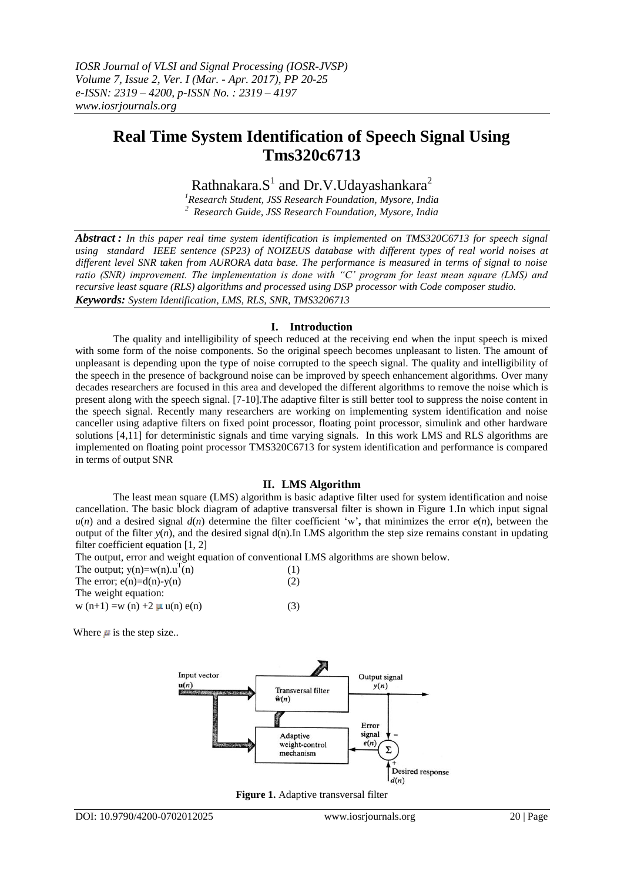# **Real Time System Identification of Speech Signal Using Tms320c6713**

Rathnakara. $S^1$  and Dr.V.Udayashankara<sup>2</sup>

*<sup>1</sup>Research Student, JSS Research Foundation, Mysore, India <sup>2</sup>Research Guide, JSS Research Foundation, Mysore, India*

*Abstract : In this paper real time system identification is implemented on TMS320C6713 for speech signal using standard IEEE sentence (SP23) of NOIZEUS database with different types of real world noises at different level SNR taken from AURORA data base. The performance is measured in terms of signal to noise ratio (SNR) improvement. The implementation is done with "C' program for least mean square (LMS) and recursive least square (RLS) algorithms and processed using DSP processor with Code composer studio. Keywords: System Identification, LMS, RLS, SNR, TMS3206713*

## **I. Introduction**

The quality and intelligibility of speech reduced at the receiving end when the input speech is mixed with some form of the noise components. So the original speech becomes unpleasant to listen. The amount of unpleasant is depending upon the type of noise corrupted to the speech signal. The quality and intelligibility of the speech in the presence of background noise can be improved by speech enhancement algorithms. Over many decades researchers are focused in this area and developed the different algorithms to remove the noise which is present along with the speech signal. [7-10].The adaptive filter is still better tool to suppress the noise content in the speech signal. Recently many researchers are working on implementing system identification and noise canceller using adaptive filters on fixed point processor, floating point processor, simulink and other hardware solutions [4,11] for deterministic signals and time varying signals. In this work LMS and RLS algorithms are implemented on floating point processor TMS320C6713 for system identification and performance is compared in terms of output SNR

# **II. LMS Algorithm**

The least mean square (LMS) algorithm is basic adaptive filter used for system identification and noise cancellation. The basic block diagram of adaptive transversal filter is shown in Figure 1.In which input signal  $u(n)$  and a desired signal  $d(n)$  determine the filter coefficient 'w', that minimizes the error  $e(n)$ , between the output of the filter  $y(n)$ , and the desired signal  $d(n)$ .In LMS algorithm the step size remains constant in updating filter coefficient equation [1, 2]

The output, error and weight equation of conventional LMS algorithms are shown below.

| The output; $y(n)=w(n) \cdot u^{T}(n)$ | (1) |
|----------------------------------------|-----|
| The error; $e(n)=d(n)-v(n)$            | (2) |
| The weight equation:                   |     |
| w $(n+1) = w(n) + 2 \mu u(n) e(n)$     | (3) |

Where  $\mu$  is the step size..



**Figure 1.** Adaptive transversal filter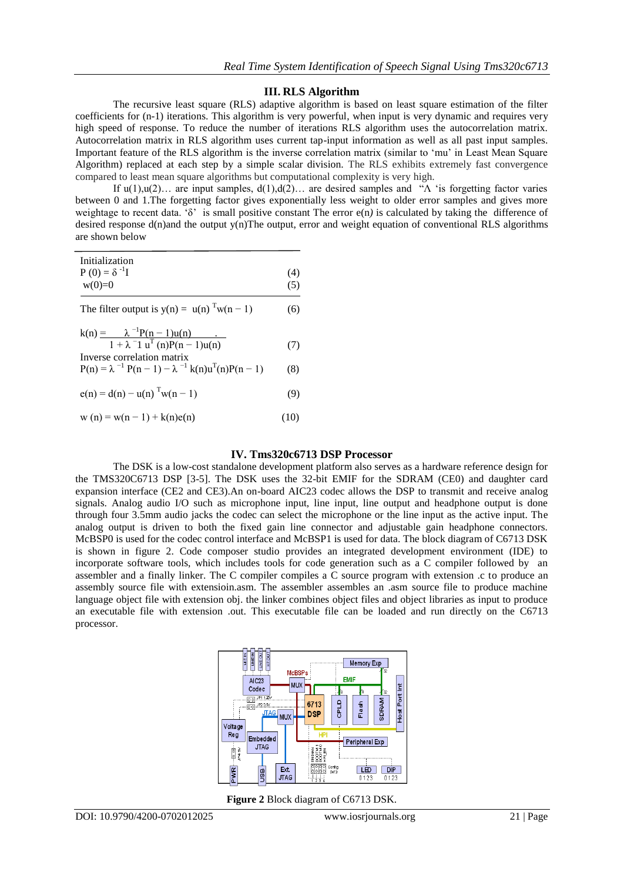#### **III. RLS Algorithm**

The recursive least square (RLS) adaptive algorithm is based on least square estimation of the filter coefficients for (n-1) iterations. This algorithm is very powerful, when input is very dynamic and requires very high speed of response. To reduce the number of iterations RLS algorithm uses the autocorrelation matrix. Autocorrelation matrix in RLS algorithm uses current tap-input information as well as all past input samples. Important feature of the RLS algorithm is the inverse correlation matrix (similar to 'mu' in Least Mean Square Algorithm) replaced at each step by a simple scalar division. The RLS exhibits extremely fast convergence compared to least mean square algorithms but computational complexity is very high.

If u(1),u(2)... are input samples,  $d(1), d(2)$ ... are desired samples and " $\Lambda$  'is forgetting factor varies between 0 and 1.The forgetting factor gives exponentially less weight to older error samples and gives more weightage to recent data. 'δ' is small positive constant The error e(n*)* is calculated by taking the difference of desired response  $d(n)$  and the output  $v(n)$ The output, error and weight equation of conventional RLS algorithms are shown below

| Initialization<br>$P(0) = \delta^{-1}I$<br>$w(0)=0$ | (4)<br>(5) |
|-----------------------------------------------------|------------|
| The filter output is $y(n) = u(n)^{T}w(n-1)$        | (6)        |
| $\sim$ -level as a set<br>$\sim$                    |            |

$$
k(n) = \lambda^{-1}P(n-1)u(n)
$$
  
1 + \lambda^{-1} u<sup>T</sup> (n)P(n-1)u(n)  
Inverse correlation matrix

$$
P(n) = \lambda^{-1} P(n-1) - \lambda^{-1} k(n) u^{T}(n) P(n-1)
$$
 (8)

$$
e(n) = d(n) - u(n)^{T}w(n-1)
$$
 (9)

$$
w(n) = w(n-1) + k(n)e(n)
$$
 (10)

# **IV. Tms320c6713 DSP Processor**

The DSK is a low-cost standalone development platform also serves as a hardware reference design for the TMS320C6713 DSP [3-5]. The DSK uses the 32-bit EMIF for the SDRAM (CE0) and daughter card expansion interface (CE2 and CE3).An on-board AIC23 codec allows the DSP to transmit and receive analog signals. Analog audio I/O such as microphone input, line input, line output and headphone output is done through four 3.5mm audio jacks the codec can select the microphone or the line input as the active input. The analog output is driven to both the fixed gain line connector and adjustable gain headphone connectors. McBSP0 is used for the codec control interface and McBSP1 is used for data. The block diagram of C6713 DSK is shown in figure 2. Code composer studio provides an integrated development environment (IDE) to incorporate software tools, which includes tools for code generation such as a C compiler followed by an assembler and a finally linker. The C compiler compiles a C source program with extension .c to produce an assembly source file with extensioin.asm. The assembler assembles an .asm source file to produce machine language object file with extension obj. the linker combines object files and object libraries as input to produce an executable file with extension .out. This executable file can be loaded and run directly on the C6713 processor.



**Figure 2** Block diagram of C6713 DSK.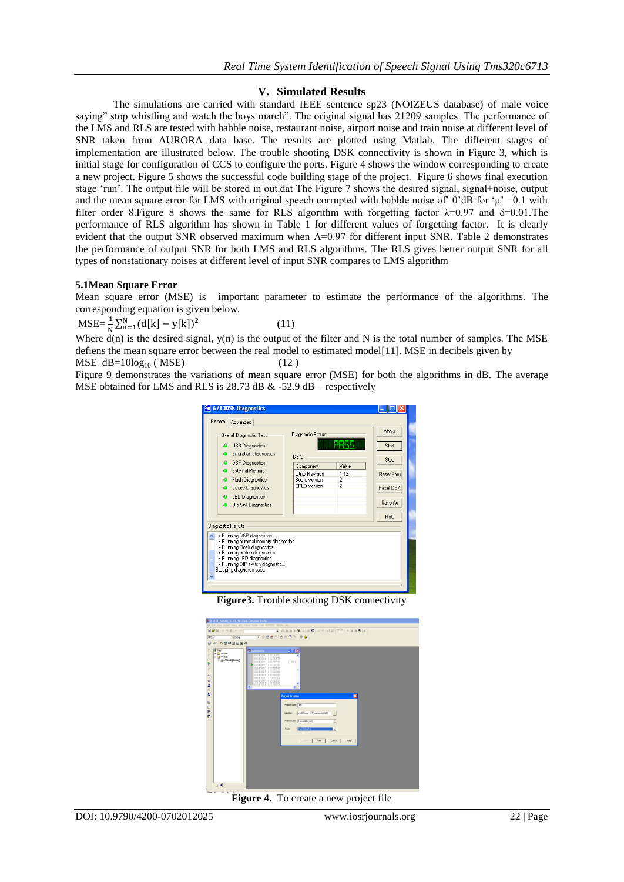# **V. Simulated Results**

The simulations are carried with standard IEEE sentence sp23 (NOIZEUS database) of male voice saying" stop whistling and watch the boys march". The original signal has 21209 samples. The performance of the LMS and RLS are tested with babble noise, restaurant noise, airport noise and train noise at different level of SNR taken from AURORA data base. The results are plotted using Matlab. The different stages of implementation are illustrated below. The trouble shooting DSK connectivity is shown in Figure 3, which is initial stage for configuration of CCS to configure the ports. Figure 4 shows the window corresponding to create a new project. Figure 5 shows the successful code building stage of the project. Figure 6 shows final execution stage 'run'. The output file will be stored in out.dat The Figure 7 shows the desired signal, signal+noise, output and the mean square error for LMS with original speech corrupted with babble noise of  $0'$ dB for ' $\mu$ ' =0.1 with filter order 8.Figure 8 shows the same for RLS algorithm with forgetting factor  $\lambda = 0.97$  and  $\delta = 0.01$ . The performance of RLS algorithm has shown in Table 1 for different values of forgetting factor. It is clearly evident that the output SNR observed maximum when  $\Lambda$ =0.97 for different input SNR. Table 2 demonstrates the performance of output SNR for both LMS and RLS algorithms. The RLS gives better output SNR for all types of nonstationary noises at different level of input SNR compares to LMS algorithm

## **5.1Mean Square Error**

Mean square error (MSE) is important parameter to estimate the performance of the algorithms. The corresponding equation is given below.

 $MSE = \frac{1}{N} \sum_{n=1}^{N}$ (11)

Where  $d(n)$  is the desired signal,  $y(n)$  is the output of the filter and N is the total number of samples. The MSE defiens the mean square error between the real model to estimated model[11]. MSE in decibels given by  $MSE$  dB=10log<sub>10</sub> (MSE) (12)

Figure 9 demonstrates the variations of mean square error (MSE) for both the algorithms in dB. The average MSE obtained for LMS and RLS is  $28.73$  dB  $\&$  -52.9 dB – respectively



**Figure3.** Trouble shooting DSK connectivity



**Figure 4.** To create a new project file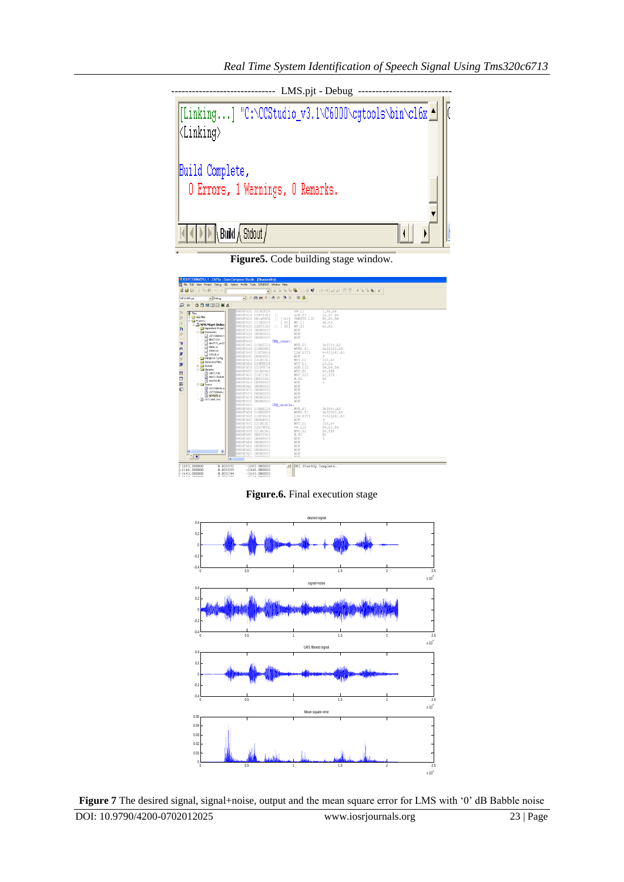---- LMS.pjt - Debug ---[Linking...] "C:\CCStudio\_v3.1\C6000\cgtools\bin\cl6x ^ Build Complete, 0 Errors, 1 Warnings, 0 Remarks.  $\bigwedge$  Build  $\bigwedge$  Stdout  $/$ Ľ

**Figure5.** Code building stage window.

|                                                                                                                                                                 |                                                                                                                                                                                                                                                                 | <b>EXECUTE INSPIRED TO LEGALARY CODE CRIMINARY STRUM - [DIRESPONDED]</b><br>To File Edit View Project Debug GEL Option Profile Tools DSP/EEOS Window Help                                                                                                                                                                                                                                                                                                                                                                                                                                                                                                                                   |
|-----------------------------------------------------------------------------------------------------------------------------------------------------------------|-----------------------------------------------------------------------------------------------------------------------------------------------------------------------------------------------------------------------------------------------------------------|---------------------------------------------------------------------------------------------------------------------------------------------------------------------------------------------------------------------------------------------------------------------------------------------------------------------------------------------------------------------------------------------------------------------------------------------------------------------------------------------------------------------------------------------------------------------------------------------------------------------------------------------------------------------------------------------|
|                                                                                                                                                                 | 自日以防防区の                                                                                                                                                                                                                                                         | 8 8 % % % %   @ 12   唯相 顧甜 臣臣  本% % 冬   6                                                                                                                                                                                                                                                                                                                                                                                                                                                                                                                                                                                                                                                   |
| NEWLMS.pit                                                                                                                                                      | $-$ Debug                                                                                                                                                                                                                                                       | • ⊙ 西出즈 ㅎㅎ ㅋ * ㅎ ㅎ                                                                                                                                                                                                                                                                                                                                                                                                                                                                                                                                                                                                                                                                          |
| 鳳<br>do"                                                                                                                                                        | ○日服国内日本                                                                                                                                                                                                                                                         |                                                                                                                                                                                                                                                                                                                                                                                                                                                                                                                                                                                                                                                                                             |
| <b>O</b> Files<br>+ GEL files<br>$\overline{0}$<br><b>R</b> Projects<br>伊<br>P)<br>$\overline{D}$<br>70<br>再<br>$\boldsymbol{\mathcal{Z}}$<br>$\mathbb{R}$<br>ø | Read NEWLMS.ppt (Debug<br>Dependent Protect<br><b>B</b> Documents<br>2 c6713dskink.h<br>additional distribution<br>dd6713_aic23<br>A MATH.H<br>$\Box$ STD80.H<br>$\Box$ STELER.H<br>DSP/BIOS Config<br>Generated Files<br>iii indude<br><b>El City</b> Ubraries | 0000FA20 02182FD9<br>0R.L1<br>1.A6.A4<br>ADD.S1<br>0000FA24 029C81E1   <br>A4, A7, A5<br>CMPGTU.L2X<br>0000FA28 9014B9FA    [ A1]<br>BS.AS.BO<br>0000FA2C 22200059<br>BO <sub>1</sub><br>MV.L1<br>P.A.B.A<br>0000FA30 228C01A0<br>A3.A5<br>MV.S1<br><b>B01</b><br>0000FA34 00000000<br>NOP<br>0000FA38 00000000<br>NOP<br>0000FA3C 00000000<br>NOP<br>0000FA40<br>IRQ_reset:<br>0000FA40 018AB228<br>MVK.S1<br>0x1564, A3<br>0000FA44 018000E8<br>MVKH.S1<br>0x10000.A3<br>0000FA48 018C8A64<br>LDW.DIT1<br>**A3[A4],A3<br>0000FA4C 00004000<br>$3 -$<br>NOP<br>0000FA50 021003E2<br>MVC.S2<br>IER.B4<br>0000FA54 020FEDD8<br>NOT.L1<br>A3.A4<br>0000FA58 02109F7A<br>AND.L2X<br>B4, A4, B4 |
| $\boxdot$<br>$\Box$<br>钢<br>Đ                                                                                                                                   | csi6713.lb<br><sup>4</sup> ddis713bd.lb<br><sup>4</sup> rts6700.lb<br><b>El Source</b><br>c6713dskinit.a<br><sup>4</sup> c6713dskink.c<br>*1 NEWLMS.c<br>21 C6713dd.cmd                                                                                         | 0000FA5C 021003A2<br>MVC.S2<br>B4.IER<br>0000FA60 018C13A2<br>MVC.S2X<br>A3,ICR<br>0000FA64 000C0362<br><b>B.S2</b><br>B3<br>0000FA68 00008000<br>NOP<br>5<br>0000FA6C 00000000<br>NOP<br>0000FA70 00000000<br>NOP<br>0000EA74 00000000<br>NOP<br>0000FA78 00000000<br>NOP<br>NOP<br>0000FA7C 00000000<br>0000FA80<br>IRQ enable:                                                                                                                                                                                                                                                                                                                                                           |
| ĸ<br>⊡4                                                                                                                                                         | $\rightarrow$                                                                                                                                                                                                                                                   | 0000FA80 018AB228<br>0x1564, A3<br>MVK.S1<br>0000FA84 018000E8<br>MVKH.S1<br>0x10000.A3<br>0000FA88 018C8A64<br>LDW.DIT1<br>**A3[A4],A3<br>0000FA8C 00004000<br>NOP<br>3.<br>0000FA90 021003E2<br>MVC.S2<br>IER.B4<br>0000FA94 020C9FFA<br>OR.L2X<br>B4, A3, B4<br>0000FA98 021003A2<br>MVC.S2<br>B4, IER<br>0000FA9C 000C0362<br><b>B.S2</b><br>B3<br>5<br>0000FAA0 00008000<br>NOP<br>0000FAA4 00000000<br>NOP<br>0000FAA8 00000000<br>NOP<br>0000FAAC 00000000<br>NOP<br>0000FAB0 00000000<br>NOP<br>conneins conneco<br><b>MOD</b><br>k                                                                                                                                                 |
| $-1683,000000$<br>$-2146.000000$<br>$-1643,000000$<br>srnx noonoo                                                                                               | 0.000092<br>0.000183<br>0.000244<br>o conser                                                                                                                                                                                                                    | $-1683,000000$<br>GEL StartUp Complete.<br>$-2146,000000$<br>$-1643,000000$<br>srsx annono                                                                                                                                                                                                                                                                                                                                                                                                                                                                                                                                                                                                  |

**Figure.6.** Final execution stage



DOI: 10.9790/4200-0702012025 www.iosrjournals.org 23 | Page **Figure 7** The desired signal, signal+noise, output and the mean square error for LMS with '0' dB Babble noise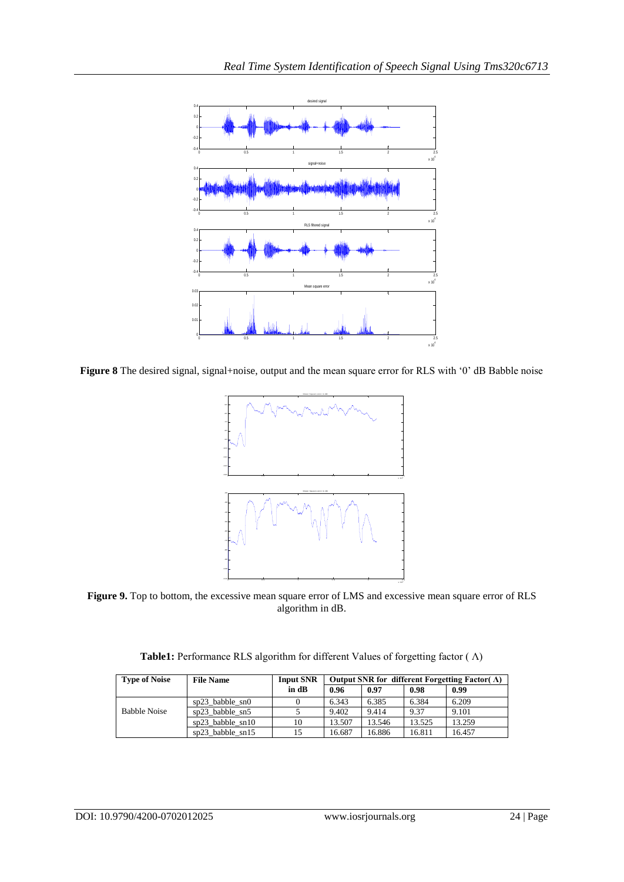

**Figure 8** The desired signal, signal+noise, output and the mean square error for RLS with '0' dB Babble noise



**Figure 9.** Top to bottom, the excessive mean square error of LMS and excessive mean square error of RLS algorithm in dB.

**Table1:** Performance RLS algorithm for different Values of forgetting factor ( Λ)

| <b>Type of Noise</b> | <b>File Name</b>     | <b>Input SNR</b> | Output SNR for different Forgetting Factor( $\Lambda$ ) |        |        |        |
|----------------------|----------------------|------------------|---------------------------------------------------------|--------|--------|--------|
|                      |                      | in dB            | 0.96                                                    | 0.97   | 0.98   | 0.99   |
|                      | $sp23$ babble $sn0$  |                  | 6.343                                                   | 6.385  | 6.384  | 6.209  |
| <b>Babble Noise</b>  | sp23_babble_sn5      |                  | 9.402                                                   | 9.414  | 9.37   | 9.101  |
|                      | $sp23$ babble $sn10$ | 10               | 13.507                                                  | 13.546 | 13.525 | 13.259 |
|                      | $sn23$ babble $sn15$ | 15               | 16.687                                                  | 16.886 | 16.811 | 16.457 |